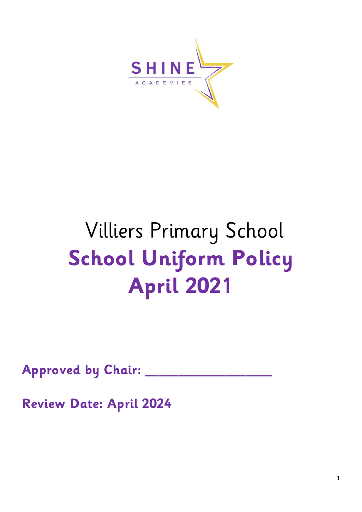

# Villiers Primary School **School Uniform Policy April 2021**

**Approved by Chair: \_\_\_\_\_\_\_\_\_\_\_\_\_\_\_\_\_\_\_**

**Review Date: April 2024**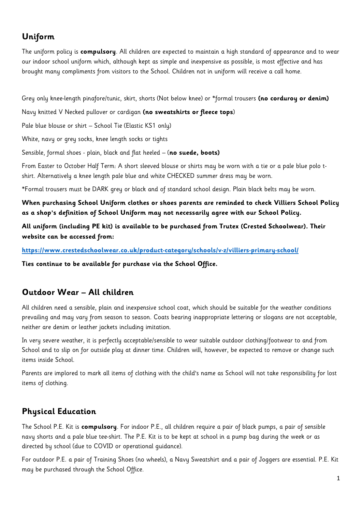## **Uniform**

The uniform policy is **compulsory**. All children are expected to maintain a high standard of appearance and to wear our indoor school uniform which, although kept as simple and inexpensive as possible, is most effective and has brought many compliments from visitors to the School. Children not in uniform will receive a call home.

Grey only knee-length pinafore/tunic, skirt, shorts (Not below knee) or \*formal trousers **(no corduroy or denim)** 

Navy knitted V Necked pullover or cardigan **(no sweatshirts or fleece tops**)

Pale blue blouse or shirt – School Tie (Elastic KS1 only)

White, navy or grey socks, knee length socks or tights

Sensible, formal shoes - plain, black and flat heeled – (**no suede, boots)** 

From Easter to October Half Term: A short sleeved blouse or shirts may be worn with a tie or a pale blue polo tshirt. Alternatively a knee length pale blue and white CHECKED summer dress may be worn.

\*Formal trousers must be DARK grey or black and of standard school design. Plain black belts may be worn.

**When purchasing School Uniform clothes or shoes parents are reminded to check Villiers School Policy as a shop's definition of School Uniform may not necessarily agree with our School Policy.** 

**All uniform (including PE kit) is available to be purchased from Trutex (Crested Schoolwear). Their website can be accessed from:** 

#### **<https://www.crestedschoolwear.co.uk/product-category/schools/v-z/villiers-primary-school/>**

**Ties continue to be available for purchase via the School Office.**

#### **Outdoor Wear – All children**

All children need a sensible, plain and inexpensive school coat, which should be suitable for the weather conditions prevailing and may vary from season to season. Coats bearing inappropriate lettering or slogans are not acceptable, neither are denim or leather jackets including imitation.

In very severe weather, it is perfectly acceptable/sensible to wear suitable outdoor clothing/footwear to and from School and to slip on for outside play at dinner time. Children will, however, be expected to remove or change such items inside School.

Parents are implored to mark all items of clothing with the child's name as School will not take responsibility for lost items of clothing.

## **Physical Education**

The School P.E. Kit is **compulsory**. For indoor P.E., all children require a pair of black pumps, a pair of sensible navy shorts and a pale blue tee-shirt. The P.E. Kit is to be kept at school in a pump bag during the week or as directed by school (due to COVID or operational guidance).

For outdoor P.E. a pair of Training Shoes (no wheels), a Navy Sweatshirt and a pair of Joggers are essential. P.E. Kit may be purchased through the School Office.